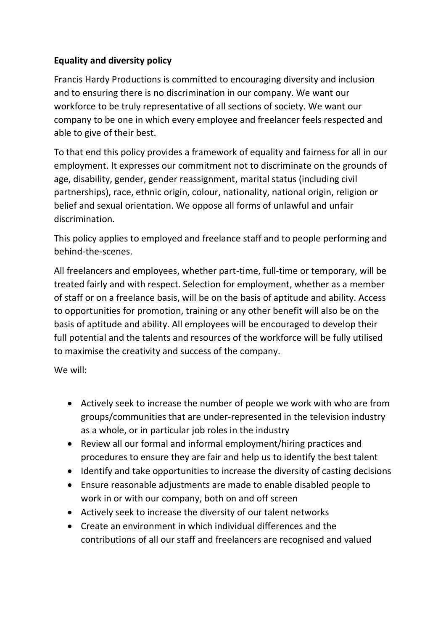## **Equality and diversity policy**

Francis Hardy Productions is committed to encouraging diversity and inclusion and to ensuring there is no discrimination in our company. We want our workforce to be truly representative of all sections of society. We want our company to be one in which every employee and freelancer feels respected and able to give of their best.

To that end this policy provides a framework of equality and fairness for all in our employment. It expresses our commitment not to discriminate on the grounds of age, disability, gender, gender reassignment, marital status (including civil partnerships), race, ethnic origin, colour, nationality, national origin, religion or belief and sexual orientation. We oppose all forms of unlawful and unfair discrimination.

This policy applies to employed and freelance staff and to people performing and behind-the-scenes.

All freelancers and employees, whether part-time, full-time or temporary, will be treated fairly and with respect. Selection for employment, whether as a member of staff or on a freelance basis, will be on the basis of aptitude and ability. Access to opportunities for promotion, training or any other benefit will also be on the basis of aptitude and ability. All employees will be encouraged to develop their full potential and the talents and resources of the workforce will be fully utilised to maximise the creativity and success of the company.

We will:

- Actively seek to increase the number of people we work with who are from groups/communities that are under-represented in the television industry as a whole, or in particular job roles in the industry
- Review all our formal and informal employment/hiring practices and procedures to ensure they are fair and help us to identify the best talent
- Identify and take opportunities to increase the diversity of casting decisions
- Ensure reasonable adjustments are made to enable disabled people to work in or with our company, both on and off screen
- Actively seek to increase the diversity of our talent networks
- Create an environment in which individual differences and the contributions of all our staff and freelancers are recognised and valued